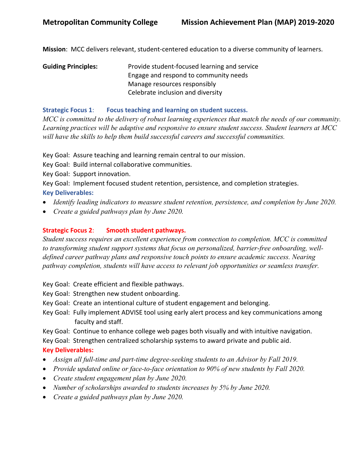**Mission**: MCC delivers relevant, student-centered education to a diverse community of learners.

**Guiding Principles:** Provide student-focused learning and service Engage and respond to community needs Manage resources responsibly Celebrate inclusion and diversity

#### **Strategic Focus 1**: **Focus teaching and learning on student success.**

*MCC is committed to the delivery of robust learning experiences that match the needs of our community. Learning practices will be adaptive and responsive to ensure student success. Student learners at MCC will have the skills to help them build successful careers and successful communities.*

Key Goal: Assure teaching and learning remain central to our mission.

Key Goal: Build internal collaborative communities.

Key Goal: Support innovation.

Key Goal: Implement focused student retention, persistence, and completion strategies. **Key Deliverables:** 

- *Identify leading indicators to measure student retention, persistence, and completion by June 2020.*
- *Create a guided pathways plan by June 2020.*

## **Strategic Focus 2**: **Smooth student pathways.**

*Student success requires an excellent experience from connection to completion. MCC is committed to transforming student support systems that focus on personalized, barrier-free onboarding, welldefined career pathway plans and responsive touch points to ensure academic success. Nearing pathway completion, students will have access to relevant job opportunities or seamless transfer.*

Key Goal: Create efficient and flexible pathways.

Key Goal: Strengthen new student onboarding.

- Key Goal: Create an intentional culture of student engagement and belonging.
- Key Goal: Fully implement ADVISE tool using early alert process and key communications among faculty and staff.

Key Goal: Continue to enhance college web pages both visually and with intuitive navigation.

Key Goal: Strengthen centralized scholarship systems to award private and public aid.

### **Key Deliverables:**

- *Assign all full-time and part-time degree-seeking students to an Advisor by Fall 2019.*
- *Provide updated online or face-to-face orientation to 90% of new students by Fall 2020.*
- *Create student engagement plan by June 2020.*
- *Number of scholarships awarded to students increases by 5% by June 2020.*
- *Create a guided pathways plan by June 2020.*